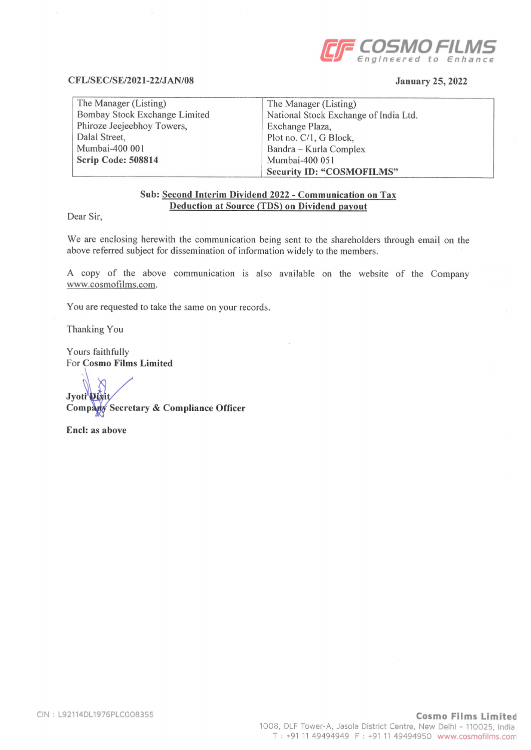

#### CFL/SEC/SE/2021-22/JAN/08

### January 25, 2022

| The Manager (Listing)         | The Manager (Listing)                 |
|-------------------------------|---------------------------------------|
| Bombay Stock Exchange Limited | National Stock Exchange of India Ltd. |
| Phiroze Jeejeebhoy Towers,    | Exchange Plaza,                       |
| Dalal Street,                 | Plot no. C/1, G Block,                |
| Mumbai-400 001                | Bandra – Kurla Complex                |
| Scrip Code: 508814            | Mumbai-400 051                        |
|                               | <b>Security ID: "COSMOFILMS"</b>      |

### Sub: Second Interim Dividend 2022 - Communication on Tax Deduction at Source (TDS) on Dividend payout

Dear Sir,

We are enclosing herewith the communication being sent to the shareholders through email on the above referred subject for dissemination of information widely to the members.

A copy of the above communication is also available on the website of the Company www.cosmofilms.com.

You are requested to take the same on your records.

Thanking You

Yours faithfully For Cosmo Films Limited

Jyoti Dixi Company Secretary & Compliance Officer

End: as above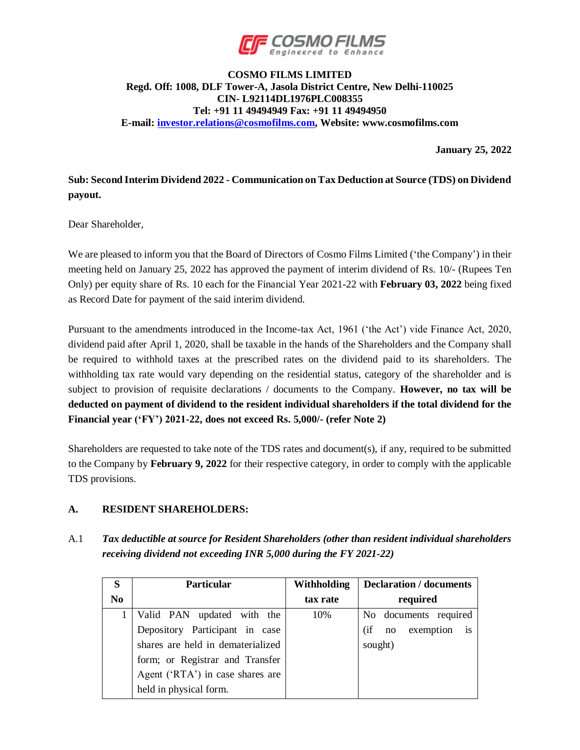

### **COSMO FILMS LIMITED Regd. Off: 1008, DLF Tower-A, Jasola District Centre, New Delhi-110025 CIN- L92114DL1976PLC008355 Tel: +91 11 49494949 Fax: +91 11 49494950 E-mail: [investor.relations@cosmofilms.com,](mailto:investor.relations@cosmofilms.com) Website: www.cosmofilms.com**

**January 25, 2022**

## **Sub: Second Interim Dividend 2022 - Communication on Tax Deduction at Source (TDS) on Dividend payout.**

Dear Shareholder,

We are pleased to inform you that the Board of Directors of Cosmo Films Limited ('the Company') in their meeting held on January 25, 2022 has approved the payment of interim dividend of Rs. 10/- (Rupees Ten Only) per equity share of Rs. 10 each for the Financial Year 2021-22 with **February 03, 2022** being fixed as Record Date for payment of the said interim dividend.

Pursuant to the amendments introduced in the Income-tax Act, 1961 ('the Act') vide Finance Act, 2020, dividend paid after April 1, 2020, shall be taxable in the hands of the Shareholders and the Company shall be required to withhold taxes at the prescribed rates on the dividend paid to its shareholders. The withholding tax rate would vary depending on the residential status, category of the shareholder and is subject to provision of requisite declarations / documents to the Company. **However, no tax will be deducted on payment of dividend to the resident individual shareholders if the total dividend for the Financial year ('FY') 2021-22, does not exceed Rs. 5,000/- (refer Note 2)**

Shareholders are requested to take note of the TDS rates and document(s), if any, required to be submitted to the Company by **February 9, 2022** for their respective category, in order to comply with the applicable TDS provisions.

## **A. RESIDENT SHAREHOLDERS:**

A.1 *Tax deductible at source for Resident Shareholders (other than resident individual shareholders receiving dividend not exceeding INR 5,000 during the FY 2021-22)*

| S              | <b>Particular</b>                 | Withholding | <b>Declaration</b> / documents |
|----------------|-----------------------------------|-------------|--------------------------------|
| N <sub>0</sub> |                                   | tax rate    | required                       |
|                | Valid PAN updated with the        | 10%         | No documents required          |
|                | Depository Participant in case    |             | exemption is<br>(if<br>no      |
|                | shares are held in dematerialized |             | sought)                        |
|                | form; or Registrar and Transfer   |             |                                |
|                | Agent ('RTA') in case shares are  |             |                                |
|                | held in physical form.            |             |                                |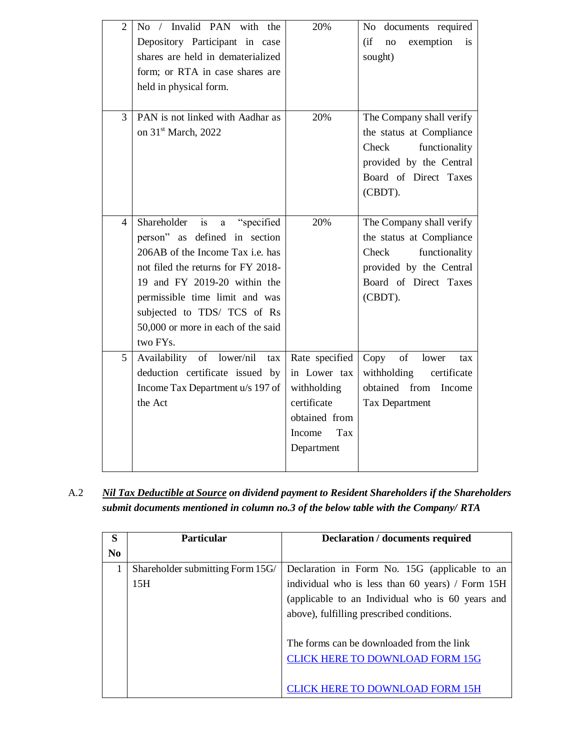| $\overline{2}$ | No / Invalid PAN with the<br>Depository Participant in case<br>shares are held in dematerialized<br>form; or RTA in case shares are<br>held in physical form.                                                                                                                                                 | 20%                                                                                                          | documents required<br>No<br>exemption<br>(i f)<br>no<br>is<br>sought)                                                                         |
|----------------|---------------------------------------------------------------------------------------------------------------------------------------------------------------------------------------------------------------------------------------------------------------------------------------------------------------|--------------------------------------------------------------------------------------------------------------|-----------------------------------------------------------------------------------------------------------------------------------------------|
| 3              | PAN is not linked with Aadhar as<br>on 31 <sup>st</sup> March, 2022                                                                                                                                                                                                                                           | 20%                                                                                                          | The Company shall verify<br>the status at Compliance<br>Check<br>functionality<br>provided by the Central<br>Board of Direct Taxes<br>(CBDT). |
| 4              | "specified<br>Shareholder<br>is<br>$\mathbf{a}$<br>person" as defined in section<br>206AB of the Income Tax i.e. has<br>not filed the returns for FY 2018-<br>19 and FY 2019-20 within the<br>permissible time limit and was<br>subjected to TDS/ TCS of Rs<br>50,000 or more in each of the said<br>two FYs. | 20%                                                                                                          | The Company shall verify<br>the status at Compliance<br>Check<br>functionality<br>provided by the Central<br>Board of Direct Taxes<br>(CBDT). |
| 5              | Availability of lower/nil<br>tax<br>deduction certificate issued by<br>Income Tax Department u/s 197 of<br>the Act                                                                                                                                                                                            | Rate specified<br>in Lower tax<br>withholding<br>certificate<br>obtained from<br>Income<br>Tax<br>Department | of<br>Copy<br>lower<br>tax<br>withholding<br>certificate<br>obtained from<br>Income<br>Tax Department                                         |

A.2 *Nil Tax Deductible at Source on dividend payment to Resident Shareholders if the Shareholders submit documents mentioned in column no.3 of the below table with the Company/ RTA*

| S              | <b>Particular</b>                | <b>Declaration / documents required</b>          |
|----------------|----------------------------------|--------------------------------------------------|
| N <sub>0</sub> |                                  |                                                  |
|                | Shareholder submitting Form 15G/ | Declaration in Form No. 15G (applicable to an    |
|                | 15H                              | individual who is less than 60 years) / Form 15H |
|                |                                  | (applicable to an Individual who is 60 years and |
|                |                                  | above), fulfilling prescribed conditions.        |
|                |                                  |                                                  |
|                |                                  | The forms can be downloaded from the link        |
|                |                                  | <b>CLICK HERE TO DOWNLOAD FORM 15G</b>           |
|                |                                  |                                                  |
|                |                                  | <b>JICK HERE TO DOWNLOAD FORM 15H</b>            |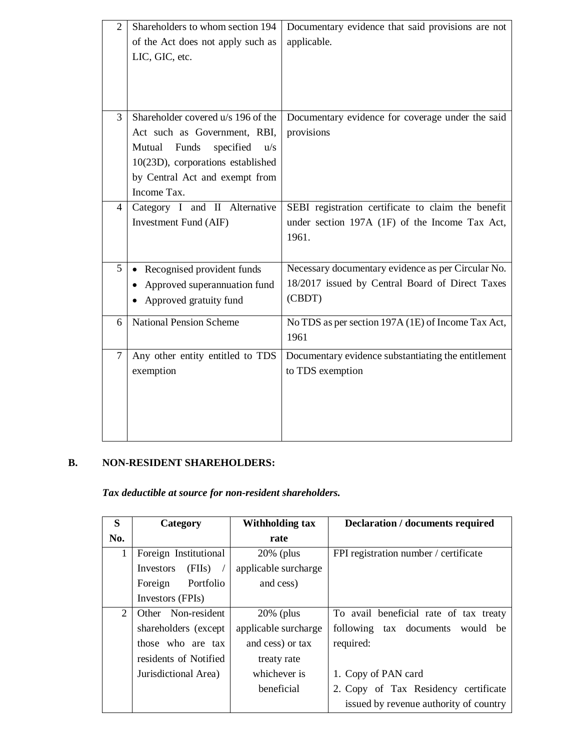| $\overline{2}$ | Shareholders to whom section 194<br>of the Act does not apply such as<br>LIC, GIC, etc.                                                                                                      | Documentary evidence that said provisions are not<br>applicable.                                                |
|----------------|----------------------------------------------------------------------------------------------------------------------------------------------------------------------------------------------|-----------------------------------------------------------------------------------------------------------------|
| 3              | Shareholder covered u/s 196 of the<br>Act such as Government, RBI,<br>Mutual<br>Funds<br>specified u/s<br>10(23D), corporations established<br>by Central Act and exempt from<br>Income Tax. | Documentary evidence for coverage under the said<br>provisions                                                  |
| 4              | Category I and II Alternative<br>Investment Fund (AIF)                                                                                                                                       | SEBI registration certificate to claim the benefit<br>under section 197A (1F) of the Income Tax Act,<br>1961.   |
| 5              | Recognised provident funds<br>Approved superannuation fund<br>Approved gratuity fund                                                                                                         | Necessary documentary evidence as per Circular No.<br>18/2017 issued by Central Board of Direct Taxes<br>(CBDT) |
| 6              | <b>National Pension Scheme</b>                                                                                                                                                               | No TDS as per section 197A (1E) of Income Tax Act,<br>1961                                                      |
| $\overline{7}$ | Any other entity entitled to TDS<br>exemption                                                                                                                                                | Documentary evidence substantiating the entitlement<br>to TDS exemption                                         |

# **B. NON-RESIDENT SHAREHOLDERS:**

*Tax deductible at source for non-resident shareholders.*

| S              | Category              | <b>Withholding tax</b> | <b>Declaration</b> / documents required |
|----------------|-----------------------|------------------------|-----------------------------------------|
| No.            |                       | rate                   |                                         |
| 1              | Foreign Institutional | $20\%$ (plus           | FPI registration number / certificate   |
|                | (FIIs)<br>Investors   | applicable surcharge   |                                         |
|                | Portfolio<br>Foreign  | and cess)              |                                         |
|                | Investors (FPIs)      |                        |                                         |
| $\overline{2}$ | Other Non-resident    | $20\%$ (plus           | To avail beneficial rate of tax treaty  |
|                | shareholders (except) | applicable surcharge   | following tax documents<br>would be     |
|                | those who are tax     | and cess) or tax       | required:                               |
|                | residents of Notified | treaty rate            |                                         |
|                | Jurisdictional Area)  | whichever is           | 1. Copy of PAN card                     |
|                |                       | heneficial             | 2. Copy of Tax Residency certificate    |
|                |                       |                        | issued by revenue authority of country  |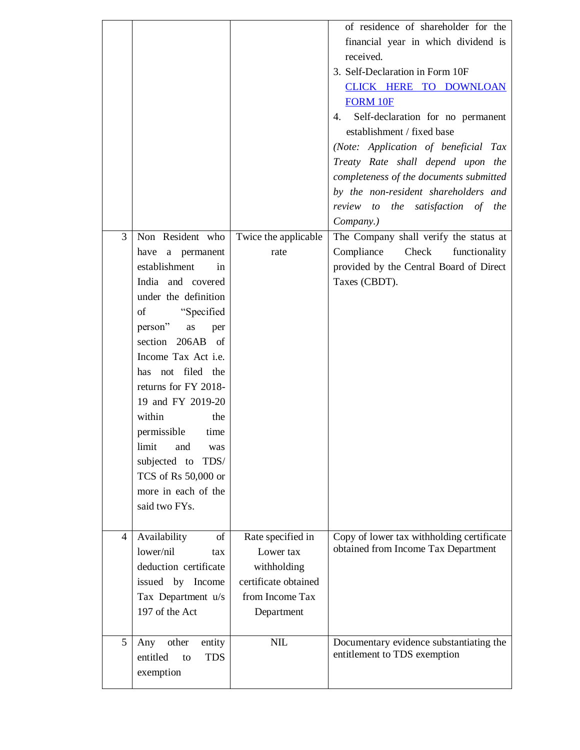|                |                              |                      | of residence of shareholder for the       |
|----------------|------------------------------|----------------------|-------------------------------------------|
|                |                              |                      | financial year in which dividend is       |
|                |                              |                      | received.                                 |
|                |                              |                      | 3. Self-Declaration in Form 10F           |
|                |                              |                      | CLICK HERE TO DOWNLOAN                    |
|                |                              |                      | <b>FORM 10F</b>                           |
|                |                              |                      | 4. Self-declaration for no permanent      |
|                |                              |                      | establishment / fixed base                |
|                |                              |                      | (Note: Application of beneficial Tax      |
|                |                              |                      | Treaty Rate shall depend upon the         |
|                |                              |                      | completeness of the documents submitted   |
|                |                              |                      | by the non-resident shareholders and      |
|                |                              |                      | review to the satisfaction of the         |
|                |                              |                      | Company.)                                 |
| 3              | Non Resident who             | Twice the applicable | The Company shall verify the status at    |
|                | have a permanent             | rate                 | Compliance<br>Check<br>functionality      |
|                | establishment<br>in          |                      | provided by the Central Board of Direct   |
|                | India and covered            |                      | Taxes (CBDT).                             |
|                | under the definition         |                      |                                           |
|                |                              |                      |                                           |
|                | "Specified<br>of             |                      |                                           |
|                | person"<br>as<br>per         |                      |                                           |
|                | section 206AB of             |                      |                                           |
|                | Income Tax Act <i>i.e.</i>   |                      |                                           |
|                | has not filed the            |                      |                                           |
|                | returns for FY 2018-         |                      |                                           |
|                | 19 and FY 2019-20            |                      |                                           |
|                | within<br>the                |                      |                                           |
|                | permissible<br>time          |                      |                                           |
|                | limit<br>and<br>was          |                      |                                           |
|                | subjected to<br>TDS/         |                      |                                           |
|                | TCS of Rs 50,000 or          |                      |                                           |
|                | more in each of the          |                      |                                           |
|                | said two FYs.                |                      |                                           |
|                |                              |                      |                                           |
| $\overline{4}$ | of<br>Availability           | Rate specified in    | Copy of lower tax withholding certificate |
|                | lower/nil<br>tax             | Lower tax            | obtained from Income Tax Department       |
|                | deduction certificate        | withholding          |                                           |
|                | issued by Income             | certificate obtained |                                           |
|                | Tax Department u/s           | from Income Tax      |                                           |
|                | 197 of the Act               | Department           |                                           |
|                |                              |                      |                                           |
| 5              | other<br>entity<br>Any       | <b>NIL</b>           | Documentary evidence substantiating the   |
|                | entitled<br><b>TDS</b><br>to |                      | entitlement to TDS exemption              |
|                | exemption                    |                      |                                           |
|                |                              |                      |                                           |